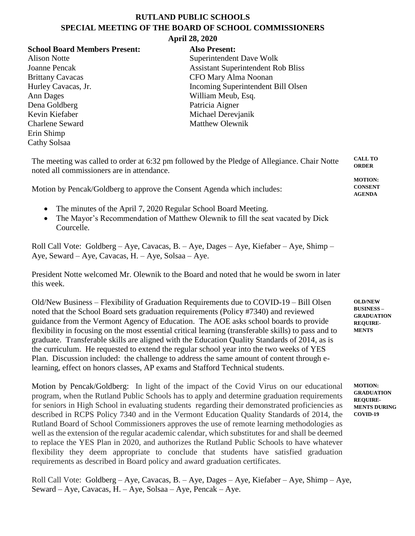## **RUTLAND PUBLIC SCHOOLS SPECIAL MEETING OF THE BOARD OF SCHOOL COMMISSIONERS**

## **April 28, 2020**

## **School Board Members Present: Also Present:**

Ann Dages William Meub, Esq. Dena Goldberg Patricia Aigner Kevin Kiefaber Michael Derevjanik Charlene Seward Matthew Olewnik Erin Shimp Cathy Solsaa

Alison Notte Superintendent Dave Wolk Joanne Pencak Assistant Superintendent Rob Bliss Brittany Cavacas CFO Mary Alma Noonan Hurley Cavacas, Jr. **Incoming Superintendent Bill Olsen** 

| The meeting was called to order at 6:32 pm followed by the Pledge of Allegiance. Chair Notte<br>noted all commissioners are in attendance. |                                  |  |  |  |  |
|--------------------------------------------------------------------------------------------------------------------------------------------|----------------------------------|--|--|--|--|
|                                                                                                                                            | <b>MOTION:</b><br><b>CONSENT</b> |  |  |  |  |
| Motion by Pencak/Goldberg to approve the Consent Agenda which includes:                                                                    | AGENDA                           |  |  |  |  |

- The minutes of the April 7, 2020 Regular School Board Meeting.
- The Mayor's Recommendation of Matthew Olewnik to fill the seat vacated by Dick Courcelle.

Roll Call Vote: Goldberg – Aye, Cavacas, B. – Aye, Dages – Aye, Kiefaber – Aye, Shimp – Aye, Seward – Aye, Cavacas, H. – Aye, Solsaa – Aye.

President Notte welcomed Mr. Olewnik to the Board and noted that he would be sworn in later this week.

Old/New Business – Flexibility of Graduation Requirements due to COVID-19 – Bill Olsen noted that the School Board sets graduation requirements (Policy #7340) and reviewed guidance from the Vermont Agency of Education. The AOE asks school boards to provide flexibility in focusing on the most essential critical learning (transferable skills) to pass and to graduate. Transferable skills are aligned with the Education Quality Standards of 2014, as is the curriculum. He requested to extend the regular school year into the two weeks of YES Plan. Discussion included: the challenge to address the same amount of content through elearning, effect on honors classes, AP exams and Stafford Technical students.

Motion by Pencak/Goldberg: In light of the impact of the Covid Virus on our educational program, when the Rutland Public Schools has to apply and determine graduation requirements for seniors in High School in evaluating students regarding their demonstrated proficiencies as described in RCPS Policy 7340 and in the Vermont Education Quality Standards of 2014, the Rutland Board of School Commissioners approves the use of remote learning methodologies as well as the extension of the regular academic calendar, which substitutes for and shall be deemed to replace the YES Plan in 2020, and authorizes the Rutland Public Schools to have whatever flexibility they deem appropriate to conclude that students have satisfied graduation requirements as described in Board policy and award graduation certificates.

Roll Call Vote: Goldberg – Aye, Cavacas, B. – Aye, Dages – Aye, Kiefaber – Aye, Shimp – Aye, Seward – Aye, Cavacas, H. – Aye, Solsaa – Aye, Pencak – Aye.

**OLD/NEW BUSINESS – GRADUATION REQUIRE-MENTS**

**MOTION: GRADUATION REQUIRE-MENTS DURING COVID-19**